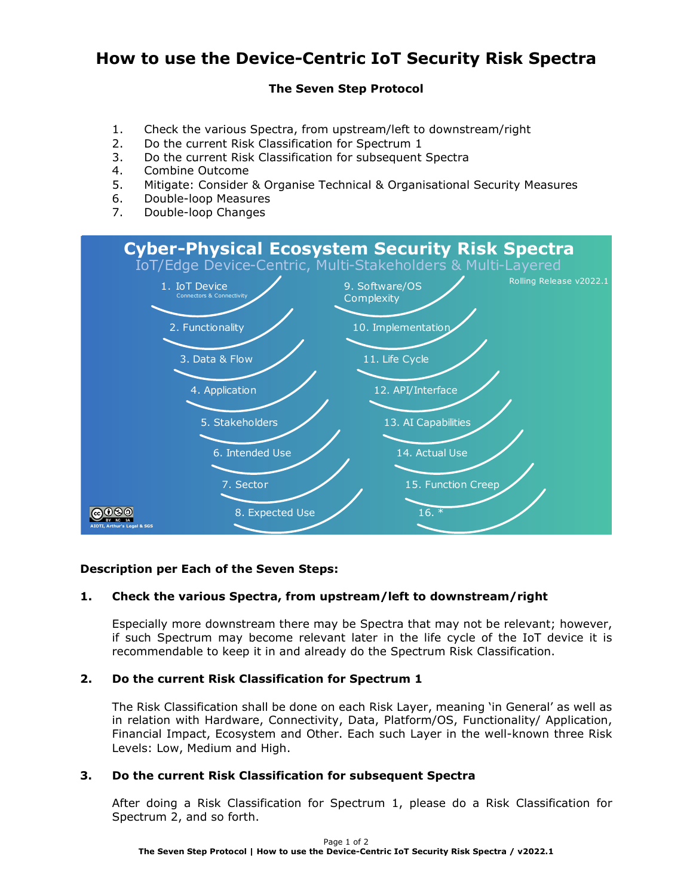# **How to use the Device-Centric IoT Security Risk Spectra**

# **The Seven Step Protocol**

- 1. Check the various Spectra, from upstream/left to downstream/right
- 2. Do the current Risk Classification for Spectrum 1
- 3. Do the current Risk Classification for subsequent Spectra
- 4. Combine Outcome
- 5. Mitigate: Consider & Organise Technical & Organisational Security Measures
- 6. Double-loop Measures
- 7. Double-loop Changes



# **Description per Each of the Seven Steps:**

# **1. Check the various Spectra, from upstream/left to downstream/right**

Especially more downstream there may be Spectra that may not be relevant; however, if such Spectrum may become relevant later in the life cycle of the IoT device it is recommendable to keep it in and already do the Spectrum Risk Classification.

### **2. Do the current Risk Classification for Spectrum 1**

The Risk Classification shall be done on each Risk Layer, meaning 'in General' as well as in relation with Hardware, Connectivity, Data, Platform/OS, Functionality/ Application, Financial Impact, Ecosystem and Other. Each such Layer in the well-known three Risk Levels: Low, Medium and High.

### **3. Do the current Risk Classification for subsequent Spectra**

After doing a Risk Classification for Spectrum 1, please do a Risk Classification for Spectrum 2, and so forth.